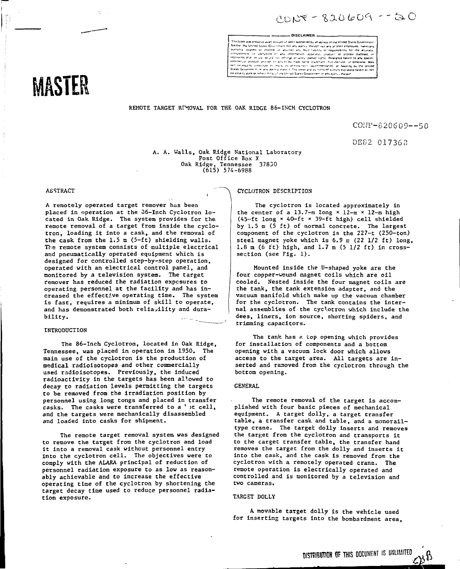CONT - 820609 - 50

DISCLAIMER -

**"-** This book was prepared as an incount of work apontored by an agency of the United States Government (Permito any Karoche

## REMOTE TARGET RIMOVAL FOR THE OAK RIDGE 86-INCH CYCLOTRON

CONF-S20S09—50

DE82 017368

A. A. Walls, Oak Ridge National Laboratory Post Office Box X<br>Nidge, Tennessee 37830 Oak Ridge, Tennessee 37800 (615) 574-6988

#### ABSTRACT

MASTER

A remotely operated target remover has been placed in operation at the 06-Inch Cyclotron located in Oak Ridge. The system provides for the remote removal of a target from inside the cyclotron, loading it into a cask, and the removal of the cask from the 1.5 m (5-ft) shielding walls. The remote system consists of multiple electrical and pneumatically operated equipment which is designed for controlled step-by-step operation, operated with an electrical control panel, and monitored by a television system. The target remover has reduced the radiation exposures to operating personnel at the facility and has increased the effective operating time. The system is fast, requires a minimum of skill to operate, and has demonstrated both reliability and durability.

#### INTRODUCTION

The 86-Inch Cyclotron, located in Oak Ridge, Tennessee, was placed in operation in 1950. The main use of the cyclotron is the production of medical radioisotopes and other commercially used rsdioisotopes. Previously, the induced radioactivity in the targets has been allowed to decay to radiation levels permitting the targets to be removed from the irradiation position by personnel using long tongs and placed in transfer casks. The casks were transferred to a 'it cell. and the targets were mechanically disassembled and loaded into casks for shipment.

The remote target removal system was designed to remove the target from the cyclotron and load it Into a removal cask without personnel entry into the cyclotron cell. The objectives were to comply with the ALARA principal of reduction of personnel radiation exposure to as low as reasonably achievable and to increase the effective operating time of the cyclotron by shortening the target decay time used to reduce personnel radiation exposure.

#### CYCLOTRON DESCRIPTION

The cyclotron is located approximately in the center of a 13.7-m long  $\times$  12-m  $\times$  12-m high <45--ft long « 40-ft x 39-fc high) cell shielded by 1.5 m (5 ft) of normal concrete. The largest component of the cyclotron is the 227-t (250-ton) steel magnet yoke which is  $6.9 \times (22 \frac{1}{2} \text{ ft})$  long, 1.8 m (6 ft) high, and 1.7 m (5 1/2 ft) in crosssection (see Fig. 1).

Mounted inside the U-shaped yoke are the four copper-wound magnet coils which are oil cooled. Nested inside the four magnet coils are the tank, the tank extension adapter, and the vacuum manifold which make up the vacuum chamber for the cyclotron. The tank contains the internal assemblies of the cyclotron which include the dees, liners, ion source, shorting spiders, and trimming capacitors.

The tank has a top opening which provides for installation of components and a bottom opening with a vacuum lock door which allows access to the target area. All targets are inserted and removed from the cyclotron through the bottom opening.

#### GENERAL

The remote removal of the target is accomplished with four basic pieces of mechanical equipment. A target dolly, a target transfer table, a transfer cask and table, and a monorailtype crane. The target dolly inserts and removes the target from the cyclotron and transports it to the carget transfer table, the transfer hand removes the target from the dolly and inserts it into the cask, and the cask is removed from the cyclotron with a remotely operated crane. The remote operation is electrically operated and controlled and is monitored by a television and two cameras.

#### TARGET DOLLY

A movable target dolly is the vehicle used for inserting targets into the bombardment area,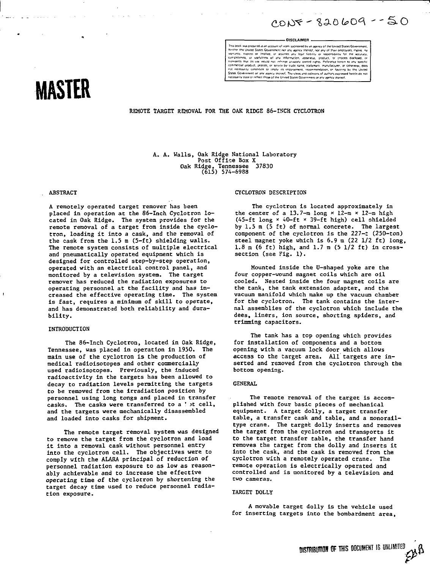$2005 - 820609 - 50$ 

# DISCLAIMER -

This book was prepared as an account of ont, against the am assess of the United States Government, Norther the United States Government for any agency thereal, nor any of their employees, makes no<br>intertwinty, respect or

# MASTER

REMOTE TARGET REMOVAL FOR THE OAK RIDGE 86-INCH CYCLOTRON

A. A. Walls, Oak Ridge National Laboratory<br>Post Office Box X 0ak Ridge, Tennessee<br>(615) 574-6988 37830

# **ABSTRACT**

A remotely operated target remover has been placed in operation at the 86-Inch Cyclotron located in Oak Ridge. The system provides for the remote removal of a target from inside the cyclotron, loading it into a cask, and the removal of the cask from the 1.5 m (5-ft) shielding walls. The remote system consists of multiple electrical and pneumatically operated equipment which is designed for controlled step-by-step operation, operated with an electrical control panel, and monitored by a television system. The target remover has reduced the radiation exposures to operating personnel at the facility and has increased the effective operating time. The system is fast, requires a minimum of skill to operate, and has demonstrated both reliability and durability.

#### INTRODUCTION

The 86-Inch Cyclotron, located in Oak Ridge, Tennessee, was placed in operation in 1950. The main use of the cyclotron is the production of medical radioisotopes and other commercially used radioisotopes. Previously, the induced radioactivity in the targets has been allowed to decay to radiation levels permitting the targets to be removed from the irradiation position by personnel using long tongs and placed in transfer casks. The casks were transferred to a ' it cell, and the targets were mechanically disassembled and loaded into casks for shipment.

The remote target removal system was designed to remove the target from the cyclotron and load it into a removal cask without personnel entry into the cyclotron cell. The objectives were to comply with the ALARA principal of reduction of personnel radiation exposure to as low as reasonably achievable and to increase the effective operating time of the cyclotron by shortening the target decay time used to reduce personnel radiation exposure.

#### CYCLOTRON DESCRIPTION

The cyclotron is located approximately in the center of a 13.7-m long  $\times$  12-m  $\times$  12-m high (45-ft long × 40-ft × 39-ft high) cell shielded by 1.5 m (5 ft) of normal concrete. The largest component of the cyclotron is the 227-t (250-ton) steel magnet yoke which is 6.9 m (22 1/2 ft) long, 1.8 m (6 ft) high, and 1.7 m (5 1/2 ft) in crosssection (see Fig. 1).

Mounted inside the U-shaped yoke are the four copper-wound magnet coils which are oil cooled. Nested inside the four magnet coils are the tank, the tank extension adapter, and the vacuum manifold which make up the vacuum chamber for the cyclotron. The tank contains the internal assemblies of the cyclotron which include the dees, liners, ion source, shorting spiders, and trimming capacitors.

The tank has a top opening which provides for installation of components and a bottom opening with a vacuum lock door which allows access to the target area. All targets are inserted and removed from the cyclotron through the bottom opening.

#### **GENERAL**

The remote removal of the target is accomplished with four basic pieces of mechanical equipment. A target dolly, a target transfer table, a transfer cask and table, and a monorailtype crane. The target dolly inserts and removes the target from the cyclotron and transports it to the target transfer table, the transfer hand removes the target from the dolly and inserts it into the cask, and the cask is removed from the cyclotron with a remotely operated crane. The remote operation is electrically operated and controlled and is monitored by a television and two cameras.

#### TARGET DOLLY

A movable target dolly is the vehicle used for inserting targets into the bombardment area,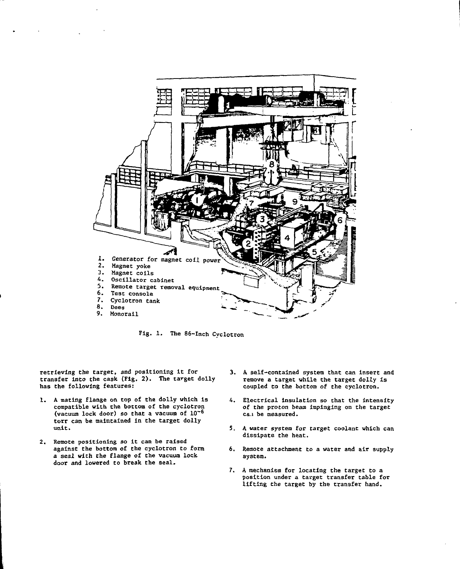

**Fig. 1. The 86-Inch Cvclotron**

**retrieving the target, and positioning it for transfer into the cask (Fig. 2). The target dolly has the following features:**

- **1. A mating flange on top of the dolly which is compatible with the bottom of the cyclotron (vacuum lock door) so that a vacuum of 10~<sup>s</sup> torr can be maintained in the target dolly unit.**
- **2. Remote positioning so it can be raised against the bottom of the cyclotron to form a seal with the flange of the vacuum lock door and lowered to break the seal.**
- **3. A self-contained system that can insert and remove a target while the target dolly Is coupled to the bottom of the cyclotron.**
- **4. Electrical insulation so that the intensity of the proton beam impinging on the target** can be measured.
- **5. A water system for target coolant which can dissipate the heat.**
- **6. Remote attachment to a water and air supply system.**
- **7. A mechanism for locating the target to a position under a target transfer table for lifting the target by the transfer hand.**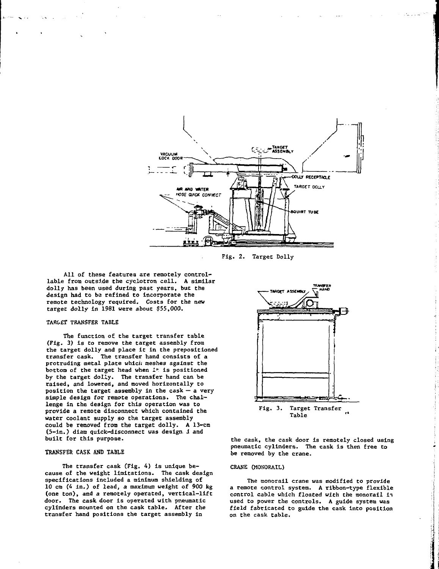

**Fig. 2. Target Dolly**

**All of these features are remotely controllable from outside the cyclotron cell. A similar dolly has been used during past years, but the design had to be refined to incorporate the remote technology required. Costs for the new target dolly in 1981 were about \$55,000.**

#### **TARGET TRANSFER TABLE**

**The function of the target transfer table (Fig. 3) is to remove the target assembly from the target dolly and place it in the prepositioned transfer cask. The transfer hand consists of a protruding metal plate whicii meshes against the bottom of the target head when I<sup>1</sup>" is positioned by the target dolly. The transfer hand can be raised, and lowered, and moved horizontally to position the target assembly in the cask — a very simple design for remote operations. The challenge in the design for this operation was to provide a remote disconnect which contained the water coolant supply so the target assembly could be removed from the target dolly. A 13-cm (5-in.) diam quick-disconnect was design i and built for this purpose.**

#### **TRANSFER CASK AND TABLE**

**The transfer cask (Fig. 4) is unique because of the weight limitations. The cask design specifications included a minimum shielding of 10 cm (4 in.) of lead, a maximum weight of 900 kg (one ton), and a remotely operated, vertical-lift door. The cask door is operated with pneumatic cylinders mounted on the cask table. After the transfer hand positions the target assembly in**



**the cask, the cask door is remotely closed using pneumatic cylinders. The cask Is then free to be removed by the crane.**

#### **CRANE (MONORAIL)**

**The monorail crane was modified to provide a remote control system. A ribbon-type flexible control cable which floated with the monorail i\*i used to power the controls. A guide system was field fabricated to guide the cask into position on the cask table.**

 $\mathbf{A}$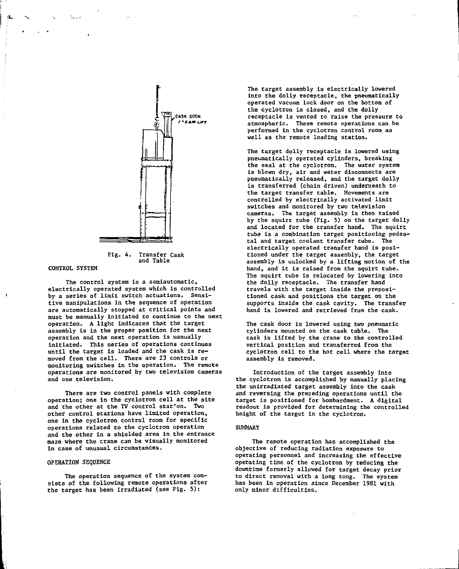

**Fig. 4. Transfer Cask and Table**

#### **CONTROL SYSTEM**

**The control system is a semiautomatic, electrically operated system which is controlled by a series of limit switch actuations. Sensitive manipulations in the sequence of operation are automatically stopped at critical points and must be manually initiated to continue to the next operation. A light indicates that the target assembly is in the proper position for the next operation and the next operation is manually initiated. This series of operations continues until the target is loaded and the cask is removed from the cell. There are 23 controls or monitoring switches in the operation. The remote operations are monitored by two television cameras and one television.**

**There are two control panels with complete operation; one in the cyclotron cell at the site and the other at the TV control stat'on. Two other control stations have limited operation, one in the cyclotron control room for specific operations related to the cyclotron operation and the other in a shielded area in the entrance maze where the crane can be visually monitored in case of unusual circumstances.**

# **OPERATION SEQUENCE**

**The operation sequence of the system consists of the following remote operations after the target has been irradiated (see Fig. S):**

**The target assembly is electrically lowered into the dolly receptacle, the pneumatically operated vacuum lock door on the bottom of the cyclotron is closed, and the dolly receptacle is vented to raise the pressure to atmospheric. These remote operations can be performed in the cyclotron control room as well as the remote loading station.**

**The target dolly receptacle is lowered using pneumatically operated cylinders, breaking the seal at the cyclotron. The water system is blown dry, air and water disconnects are pneumatically released, and the target dolly is transferred (chain driven) underneath to the target transfer table. Movements are controlled by electrically activated limit switches and monitored by two television cameras. The target assembly is then raised by che squirt tube (Fig. 5) on the target dolly and located for the transfer hand. Tha squirt tube is a combination target positioning pedestal and target coolant transfer tube. The electrically operated transfer hand is positioned under the target assembly, the target assembly is unlocked by a lifting motion of the hand, and it is raised from the squirt tube. The squirt tube is relocated by lowering into the dolly receptacle. The transfer hand travels with the target inside the prepositioned cask and positions the target on the supports inside the cask cavity. The transfer hand is lowered and retrieved from the cask.**

**The cask door is lowered using two pneumatic cylinders mounted on the cask tabXe. The cask is lifted by the crane to the controlled vertical position and transferred from the cyclotron cell to the hot cell where the target assembly is removed.**

**Introduction of the target assembly into the cyclotron is accomplished by manually placing the unirradiated target assembly into the cask and reversing the preceding operations until the target is positioned for bombardment. A digital readout is provided for determining the controlled height of the target in the cyclotron.**

## **SUMMARY**

**The remote operation has accomplished the objective of reducing radiation exposure to operating personnel and increasing the effective operating time of the cyclotTon by reducing the downtime formerly allowed for target decay prior to direct removal with a long tong. The system has been in operation since December 1981 with only minor difficulties.**